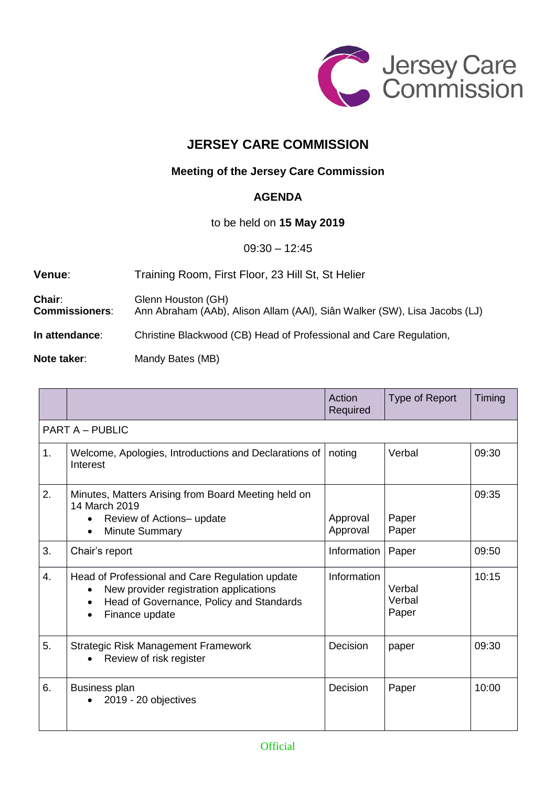

## **JERSEY CARE COMMISSION**

## **Meeting of the Jersey Care Commission**

## **AGENDA**

to be held on **15 May 2019**

09:30 – 12:45

**Venue**: Training Room, First Floor, 23 Hill St, St Helier

**Chair:** Glenn Houston (GH)<br>**Commissioners:** Ann Abraham (AAb), **Commissioners**: Ann Abraham (AAb), Alison Allam (AAl), Siân Walker (SW), Lisa Jacobs (LJ)

**In attendance**: Christine Blackwood (CB) Head of Professional and Care Regulation,

**Note taker:** Mandy Bates (MB)

|                        |                                                                                                                                                                      | Action<br>Required   | Type of Report            | Timing |  |  |  |
|------------------------|----------------------------------------------------------------------------------------------------------------------------------------------------------------------|----------------------|---------------------------|--------|--|--|--|
| <b>PART A - PUBLIC</b> |                                                                                                                                                                      |                      |                           |        |  |  |  |
| 1.                     | Welcome, Apologies, Introductions and Declarations of<br>Interest                                                                                                    | noting               | Verbal                    | 09:30  |  |  |  |
| 2.                     | Minutes, Matters Arising from Board Meeting held on<br>14 March 2019<br>Review of Actions-update<br>Minute Summary<br>$\bullet$                                      | Approval<br>Approval | Paper<br>Paper            | 09:35  |  |  |  |
| 3.                     | Chair's report                                                                                                                                                       | Information          | Paper                     | 09:50  |  |  |  |
| $\overline{4}$ .       | Head of Professional and Care Regulation update<br>New provider registration applications<br>Head of Governance, Policy and Standards<br>Finance update<br>$\bullet$ | Information          | Verbal<br>Verbal<br>Paper | 10:15  |  |  |  |
| 5.                     | <b>Strategic Risk Management Framework</b><br>Review of risk register                                                                                                | Decision             | paper                     | 09:30  |  |  |  |
| 6.                     | <b>Business plan</b><br>2019 - 20 objectives                                                                                                                         | Decision             | Paper                     | 10:00  |  |  |  |